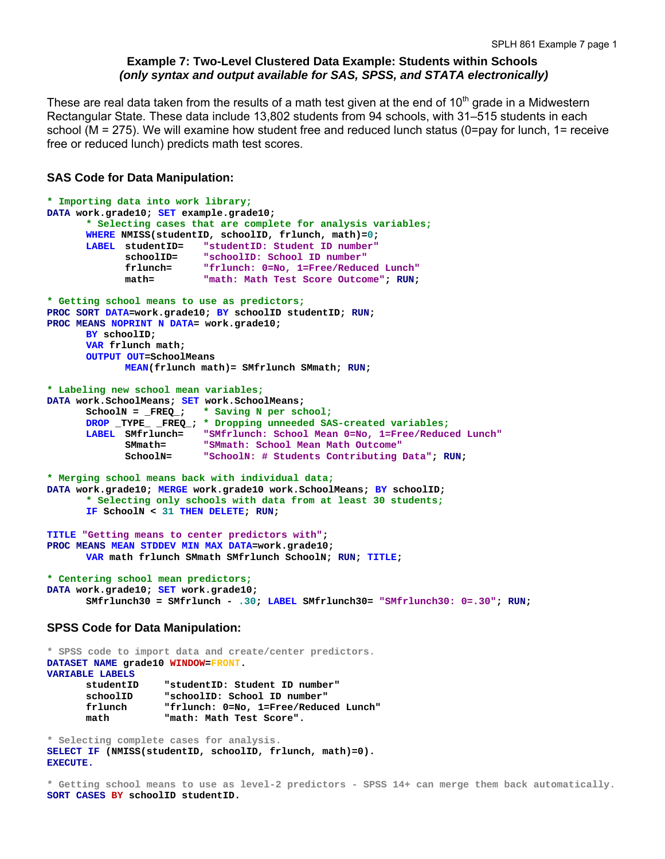# **Example 7: Two-Level Clustered Data Example: Students within Schools**   *(only syntax and output available for SAS, SPSS, and STATA electronically)*

These are real data taken from the results of a math test given at the end of  $10<sup>th</sup>$  grade in a Midwestern Rectangular State. These data include 13,802 students from 94 schools, with 31–515 students in each school (M = 275). We will examine how student free and reduced lunch status (0=pay for lunch, 1= receive free or reduced lunch) predicts math test scores.

# **SAS Code for Data Manipulation:**

```
* Importing data into work library; 
DATA work.grade10; SET example.grade10; 
       * Selecting cases that are complete for analysis variables;
      WHERE NMISS(studentID, schoolID, frlunch, math)=0; 
       LABEL studentID= "studentID: Student ID number"
              schoolID= "schoolID: School ID number"
              frlunch= "frlunch: 0=No, 1=Free/Reduced Lunch"
              math= "math: Math Test Score Outcome"; RUN; 
* Getting school means to use as predictors;
PROC SORT DATA=work.grade10; BY schoolID studentID; RUN; 
PROC MEANS NOPRINT N DATA= work.grade10; 
      BY schoolID; 
      VAR frlunch math; 
      OUTPUT OUT=SchoolMeans 
              MEAN(frlunch math)= SMfrlunch SMmath; RUN; 
* Labeling new school mean variables;
DATA work.SchoolMeans; SET work.SchoolMeans; 
       SchoolN = _FREQ_; * Saving N per school;
      DROP _TYPE_ _FREQ_; * Dropping unneeded SAS-created variables;
       LABEL SMfrlunch= "SMfrlunch: School Mean 0=No, 1=Free/Reduced Lunch"
             SMmath= "SMmath: School Mean Math Outcome"
                         "SchoolN: # Students Contributing Data"; RUN;
* Merging school means back with individual data;
DATA work.grade10; MERGE work.grade10 work.SchoolMeans; BY schoolID; 
       * Selecting only schools with data from at least 30 students;
      IF SchoolN < 31 THEN DELETE; RUN; 
TITLE "Getting means to center predictors with"; 
PROC MEANS MEAN STDDEV MIN MAX DATA=work.grade10; 
      VAR math frlunch SMmath SMfrlunch SchoolN; RUN; TITLE; 
* Centering school mean predictors;
DATA work.grade10; SET work.grade10; 
        SMfrlunch30 = SMfrlunch - .30; LABEL SMfrlunch30= "SMfrlunch30: 0=.30"; RUN;
```
# **SPSS Code for Data Manipulation:**

```
* SPSS code to import data and create/center predictors. 
DATASET NAME grade10 WINDOW=FRONT. 
VARIABLE LABELS 
       studentID "studentID: Student ID number" 
                     schoolID "schoolID: School ID number" 
       frlunch "frlunch: 0=No, 1=Free/Reduced Lunch" 
       math "math: Math Test Score".
```
**\* Selecting complete cases for analysis. SELECT IF (NMISS(studentID, schoolID, frlunch, math)=0). EXECUTE.** 

**\* Getting school means to use as level-2 predictors - SPSS 14+ can merge them back automatically. SORT CASES BY schoolID studentID.**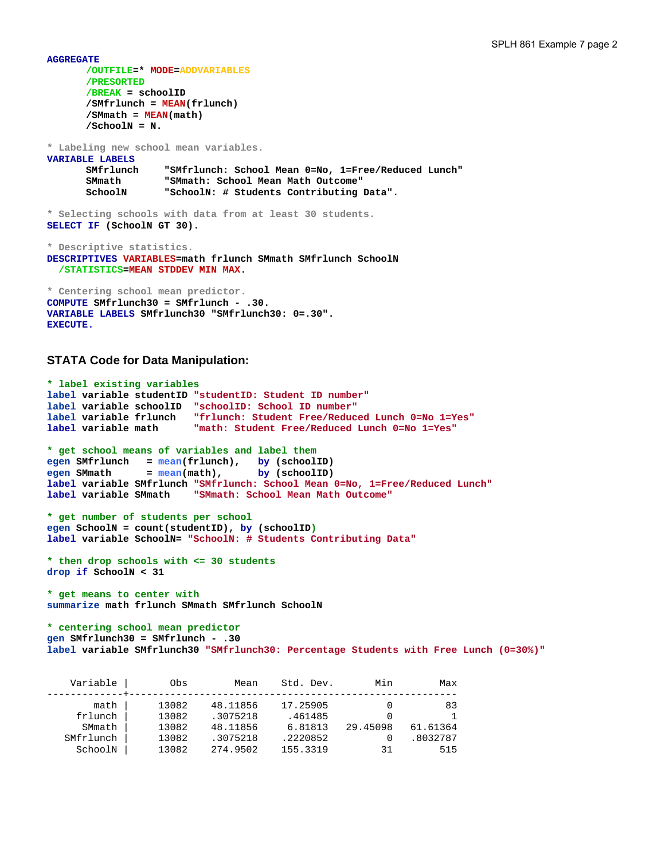**AGGREGATE /OUTFILE=\* MODE=ADDVARIABLES /PRESORTED /BREAK = schoolID /SMfrlunch = MEAN(frlunch) /SMmath = MEAN(math) /SchoolN = N. \* Labeling new school mean variables. VARIABLE LABELS SMfrlunch "SMfrlunch: School Mean 0=No, 1=Free/Reduced Lunch" SMmath "SMmath: School Mean Math Outcome" SchoolN "SchoolN: # Students Contributing Data". \* Selecting schools with data from at least 30 students. SELECT IF (SchoolN GT 30). \* Descriptive statistics. DESCRIPTIVES VARIABLES=math frlunch SMmath SMfrlunch SchoolN /STATISTICS=MEAN STDDEV MIN MAX. \* Centering school mean predictor. COMPUTE SMfrlunch30 = SMfrlunch - .30.** 

## **STATA Code for Data Manipulation:**

**EXECUTE.** 

**VARIABLE LABELS SMfrlunch30 "SMfrlunch30: 0=.30".**

```
* label existing variables 
label variable studentID "studentID: Student ID number"
label variable schoolID "schoolID: School ID number" 
label variable frlunch "frlunch: Student Free/Reduced Lunch 0=No 1=Yes"
label variable math "math: Student Free/Reduced Lunch 0=No 1=Yes"
* get school means of variables and label them 
egen SMfrlunch = mean(frlunch), by (schoolID) 
egen SMmath = mean(math), by (schoolID) 
label variable SMfrlunch "SMfrlunch: School Mean 0=No, 1=Free/Reduced Lunch"
label variable SMmath "SMmath: School Mean Math Outcome"
* get number of students per school 
egen SchoolN = count(studentID), by (schoolID) 
label variable SchoolN= "SchoolN: # Students Contributing Data" 
* then drop schools with <= 30 students 
drop if SchoolN < 31 
* get means to center with 
summarize math frlunch SMmath SMfrlunch SchoolN 
* centering school mean predictor 
gen SMfrlunch30 = SMfrlunch - .30 
label variable SMfrlunch30 "SMfrlunch30: Percentage Students with Free Lunch (0=30%)" 
   Variable | Obs Mean Std. Dev. Min Max
-------------+-------------------------------------------------------- 
       math | 13082 48.11856 17.25905 0 83<br>1 13082 .3075218 .461485 0 1
 frlunch | 13082 .3075218 .461485 0 1 
 SMmath | 13082 48.11856 6.81813 29.45098 61.61364 
 SMfrlunch | 13082 .3075218 .2220852 0 .8032787 
 SchoolN | 13082 274.9502 155.3319 31 515
```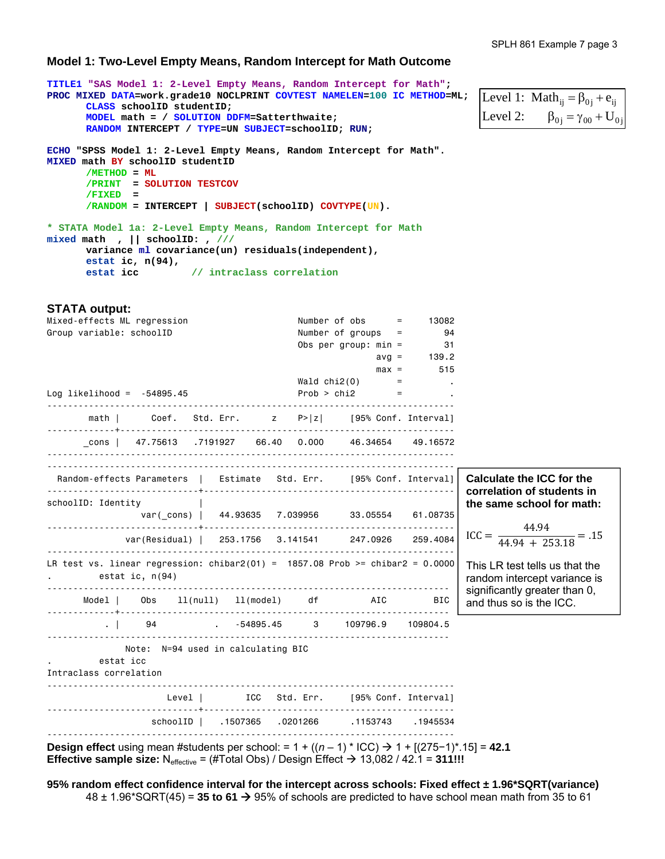# **Model 1: Two-Level Empty Means, Random Intercept for Math Outcome**

| TITLE1 "SAS Model 1: 2-Level Empty Means, Random Intercept for Math";<br>PROC MIXED DATA=work.grade10 NOCLPRINT COVTEST NAMELEN=100 IC METHOD=ML;<br>CLASS schoolID studentID;                                                   |                                    | Level 1: Math <sub>ii</sub> = $\beta_{0i}$ + $e_{ii}$ |
|----------------------------------------------------------------------------------------------------------------------------------------------------------------------------------------------------------------------------------|------------------------------------|-------------------------------------------------------|
| MODEL math = / SOLUTION DDFM=Satterthwaite;                                                                                                                                                                                      |                                    | Level 2: $\beta_{0i} = \gamma_{00} + U_{0i}$          |
| RANDOM INTERCEPT / TYPE=UN SUBJECT=schoolID; RUN;                                                                                                                                                                                |                                    |                                                       |
| ECHO "SPSS Model 1: 2-Level Empty Means, Random Intercept for Math".<br>MIXED math BY schoolID studentID<br>$/METHOD = ML$<br>/PRINT = SOLUTION TESTCOV<br>$/FIXED =$<br>$/$ RANDOM = INTERCEPT   SUBJECT(schoolID) COVTYPE(UN). |                                    |                                                       |
| * STATA Model 1a: 2-Level Empty Means, Random Intercept for Math<br>mixed math , $  $ schoolID: , ///<br>variance ml covariance(un) residuals(independent),<br>estat ic, $n(94)$ ,<br>estat icc // intraclass correlation        |                                    |                                                       |
| <b>STATA output:</b>                                                                                                                                                                                                             |                                    |                                                       |
| Mixed-effects ML regression                                                                                                                                                                                                      | Number of $obs$ = 13082            |                                                       |
| Group variable: schoolID                                                                                                                                                                                                         | Number of groups $=$ 94            |                                                       |
|                                                                                                                                                                                                                                  | Obs per group: $min = 31$          |                                                       |
|                                                                                                                                                                                                                                  | $avg = 139.2$                      |                                                       |
|                                                                                                                                                                                                                                  | $max = 515$                        |                                                       |
|                                                                                                                                                                                                                                  | Wald $\text{chi2}(0)$ = $\qquad$ . |                                                       |
| $Log$ likelihood = $-54895.45$                                                                                                                                                                                                   | $Prob > chi2$ =                    |                                                       |
| math   Coef. Std. Err.   z   P> z    [95% Conf. Interval]                                                                                                                                                                        |                                    |                                                       |
| cons   47.75613 .7191927 66.40 0.000 46.34654 49.16572                                                                                                                                                                           |                                    |                                                       |
| Random-effects Parameters   Estimate Std. Err. [95% Conf. Interval] Calculate the ICC for the                                                                                                                                    |                                    | correlation of students in                            |

 $\text{ICC} = \frac{1.444 \times 10^{-4} \text{ J}}{44.94 + 253.18} = .15$ 44.94 **the same school for math:** 

This LR test tells us that the random intercept variance is significantly greater than 0, and thus so is the ICC.

 . | 94 . -54895.45 3 109796.9 109804.5 ----------------------------------------------------------------------------- Note: N=94 used in calculating BIC

. estat icc Intraclass correlation

schoolID: Identity |

. estat ic, n(94)

|  | Level   ICC Std. Err.   195% Conf. Intervall  |  |
|--|-----------------------------------------------|--|
|  | 1945534. 1153743. 0201266. 16507365. SchoolID |  |

 Model | Obs ll(null) ll(model) df AIC BIC -------------+---------------------------------------------------------------

**Design effect** using mean #students per school: =  $1 + ((n - 1) * ICC)$  →  $1 + [(275-1) * .15]$  = 42.1 **Effective sample size:**  $N_{\text{effective}} = (\# \text{Total Obs}) / \text{Design Effect} \rightarrow 13,082 / 42.1 = 311!!!$ 

var(\_cons) | 44.93635 7.039956 33.05554 61.08735

var(Residual) | 253.1756 3.141541 247.0926 259.4084

-----------------------------------------------------------------------------

-----------------------------+------------------------------------------------

------------------------------------------------------------------------------ LR test vs. linear regression: chibar2(01) =  $1857.08$  Prob >= chibar2 = 0.0000

**95% random effect confidence interval for the intercept across schools: Fixed effect ± 1.96\*SQRT(variance)**   $48 \pm 1.96^*$ SQRT(45) = 35 to 61  $\rightarrow$  95% of schools are predicted to have school mean math from 35 to 61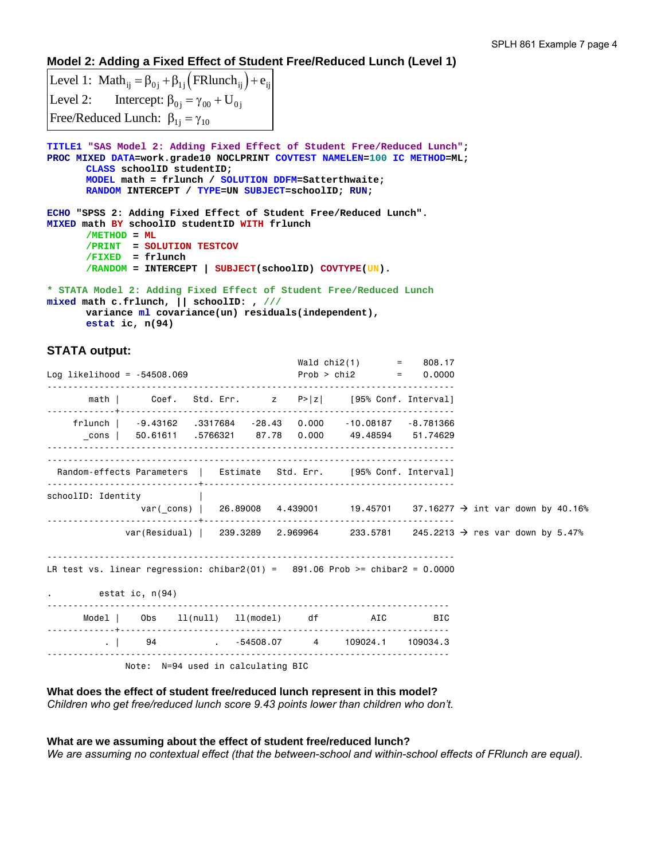# **Model 2: Adding a Fixed Effect of Student Free/Reduced Lunch (Level 1)**

Level 1: Math<sub>ij</sub> =  $\beta_{0j}$  +  $\beta_{1j}$  (FRlunch<sub>ij</sub>) +  $e_{ij}$ Level 2: Intercept:  $\beta_{0j} = \gamma_{00} + U_{0j}$ Free/Reduced Lunch:  $\beta_{1j} = \gamma_{10}$ 

**TITLE1 "SAS Model 2: Adding Fixed Effect of Student Free/Reduced Lunch"; PROC MIXED DATA=work.grade10 NOCLPRINT COVTEST NAMELEN=100 IC METHOD=ML; CLASS schoolID studentID; MODEL math = frlunch / SOLUTION DDFM=Satterthwaite; RANDOM INTERCEPT / TYPE=UN SUBJECT=schoolID; RUN; ECHO "SPSS 2: Adding Fixed Effect of Student Free/Reduced Lunch". MIXED math BY schoolID studentID WITH frlunch** 

```
/METHOD = ML
 /PRINT = SOLUTION TESTCOV
 /FIXED = frlunch 
       /RANDOM = INTERCEPT | SUBJECT(schoolID) COVTYPE(UN).
```
**\* STATA Model 2: Adding Fixed Effect of Student Free/Reduced Lunch mixed math c.frlunch, || schoolID: , /// variance ml covariance(un) residuals(independent), estat ic, n(94)** 

# **STATA output:**

| $Log$ likelihood = $-54508.069$                                                                             | Wald chi2(1) = $808.17$<br>$Prob > chi2$ = 0.0000 |  |
|-------------------------------------------------------------------------------------------------------------|---------------------------------------------------|--|
| math   Coef. Std. Err. $z \quad P >  z $ [95% Conf. Interval]                                               |                                                   |  |
| frlunch   -9.43162 .3317684 -28.43 0.000 -10.08187 -8.781366                                                |                                                   |  |
| Random-effects Parameters   Estimate Std. Err. [95% Conf. Interval]                                         |                                                   |  |
| schoolID: Identity<br>var(_cons)   26.89008 4.439001 19.45701 37.16277 $\rightarrow$ int var down by 40.16% |                                                   |  |
| var(Residual)   239.3289 2.969964 233.5781 245.2213 $\rightarrow$ res var down by 5.47%                     |                                                   |  |
| LR test vs. linear regression: chibar2(01) = $891.06$ Prob >= chibar2 = 0.0000<br>estat ic, n(94)           |                                                   |  |
| Model   Obs 11(null) 11(model) df AIC BIC                                                                   |                                                   |  |
| 09034.3 109034.3 109024.1 109034.3                                                                          |                                                   |  |
| Note: N=94 used in calculating BIC                                                                          |                                                   |  |

**What does the effect of student free/reduced lunch represent in this model?**  *Children who get free/reduced lunch score 9.43 points lower than children who don't.* 

## **What are we assuming about the effect of student free/reduced lunch?**  *We are assuming no contextual effect (that the between-school and within-school effects of FRlunch are equal).*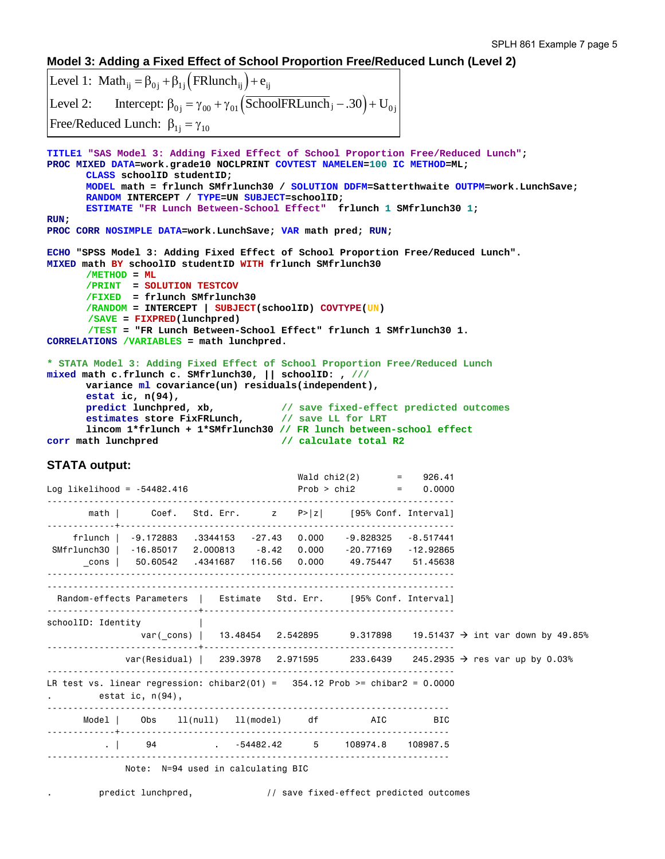## **Model 3: Adding a Fixed Effect of School Proportion Free/Reduced Lunch (Level 2)**

```
Level 1: Math<sub>ij</sub> = \beta_{0j} + \beta_{1j} (FRlunch<sub>ij</sub>) + e_{ij}Level 2: Intercept: \beta_{0j} = \gamma_{00} + \gamma_{01} (SchoolFRLunch j - .30) + U<sub>0j</sub>
Free/Reduced Lunch: \beta_{1j} = \gamma_{10}TITLE1 "SAS Model 3: Adding Fixed Effect of School Proportion Free/Reduced Lunch"; 
PROC MIXED DATA=work.grade10 NOCLPRINT COVTEST NAMELEN=100 IC METHOD=ML; 
       CLASS schoolID studentID; 
       MODEL math = frlunch SMfrlunch30 / SOLUTION DDFM=Satterthwaite OUTPM=work.LunchSave; 
       RANDOM INTERCEPT / TYPE=UN SUBJECT=schoolID; 
        ESTIMATE "FR Lunch Between-School Effect" frlunch 1 SMfrlunch30 1; 
RUN; 
PROC CORR NOSIMPLE DATA=work.LunchSave; VAR math pred; RUN; 
ECHO "SPSS Model 3: Adding Fixed Effect of School Proportion Free/Reduced Lunch". 
MIXED math BY schoolID studentID WITH frlunch SMfrlunch30 
       /METHOD = ML
        /PRINT = SOLUTION TESTCOV
        /FIXED = frlunch SMfrlunch30 
        /RANDOM = INTERCEPT | SUBJECT(schoolID) COVTYPE(UN) 
        /SAVE = FIXPRED(lunchpred) 
        /TEST = "FR Lunch Between-School Effect" frlunch 1 SMfrlunch30 1. 
CORRELATIONS /VARIABLES = math lunchpred. 
* STATA Model 3: Adding Fixed Effect of School Proportion Free/Reduced Lunch 
mixed math c.frlunch c. SMfrlunch30, || schoolID: , /// 
       variance ml covariance(un) residuals(independent), 
      estat ic, n(94), 
       predict lunchpred, xb, // save fixed-effect predicted outcomes
       estimates store FixFRLunch, // save LL for LRT
 lincom 1*frlunch + 1*SMfrlunch30 // FR lunch between-school effect 
                                          // calculate total R2
STATA output: 
                                             Wald chi2(2) = 926.41
Log likelihood = -54482.416 Prob > chi2 = 0.0000 
------------------------------------------------------------------------------ 
       math | Coef. Std. Err. z P>|z| [95% Conf. Interval]
-------------+---------------------------------------------------------------- 
     frlunch | -9.172883 .3344153 -27.43 0.000 -9.828325 -8.517441 
SMfrlunch30 | -16.85017 2.000813 -8.42 0.000
       _cons | 50.60542 .4341687 116.56 0.000 49.75447 51.45638 
------------------------------------------------------------------------------ 
------------------------------------------------------------------------------ 
 Random-effects Parameters | Estimate Std. Err. [95% Conf. Interval]
-----------------------------+------------------------------------------------ 
schoolID: Identity | 
               var(_cons) | 13.48454 2.542895 9.317898 19.51437 \rightarrow int var down by 49.85%
-----------------------------+------------------------------------------------ 
             var(Residual) | 239.3978 2.971595 233.6439 245.2935 \rightarrow res var up by 0.03%
------------------------------------------------------------------------------ 
LR test vs. linear regression: \text{chibar2}(01) = 354.12 Prob >= \text{chibar2} = 0.0000. estat ic, n(94), 
----------------------------------------------------------------------------- 
       Model | Obs ll(null) ll(model) df AIC BIC 
-------------+--------------------------------------------------------------- 
          . | 94 . -54482.42 5 108974.8 108987.5 
----------------------------------------------------------------------------- 
              Note: N=94 used in calculating BIC
```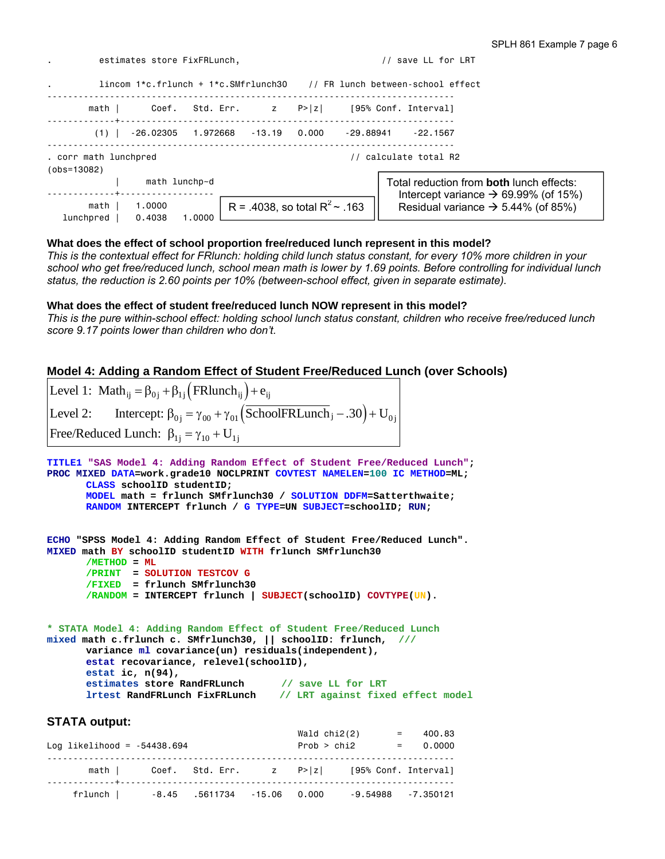| estimates store FixFRLunch,            |                  |                       | save LL for LRT |                                  |           |                                                                                                     |
|----------------------------------------|------------------|-----------------------|-----------------|----------------------------------|-----------|-----------------------------------------------------------------------------------------------------|
| $\bullet$                              |                  |                       |                 |                                  |           | $lineom 1*c.frlunch + 1*c.SMfrlunch30$ // FR lunch between-school effect                            |
| math I                                 | Coef.            |                       |                 |                                  |           | Std. Err. z P> z  [95% Conf. Interval]                                                              |
| (1)                                    | -26.02305        | 1.972668 -13.19 0.000 |                 |                                  | -29.88941 | - 22.1567                                                                                           |
| . corr math lunchpred<br>$(obs=13082)$ |                  |                       |                 |                                  |           | calculate total R2                                                                                  |
|                                        | math lunchp~d    |                       |                 |                                  |           | Total reduction from <b>both</b> lunch effects:<br>Intercept variance $\rightarrow$ 69.99% (of 15%) |
| math I<br>lunchpred                    | 1,0000<br>0.4038 | 1.0000                |                 | R = .4038, so total $R^2$ ~ .163 |           | Residual variance $\rightarrow$ 5.44% (of 85%)                                                      |

# **What does the effect of school proportion free/reduced lunch represent in this model?**

*This is the contextual effect for FRlunch: holding child lunch status constant, for every 10% more children in your school who get free/reduced lunch, school mean math is lower by 1.69 points. Before controlling for individual lunch status, the reduction is 2.60 points per 10% (between-school effect, given in separate estimate).* 

# **What does the effect of student free/reduced lunch NOW represent in this model?**

*This is the pure within-school effect: holding school lunch status constant, children who receive free/reduced lunch score 9.17 points lower than children who don't.* 

# **Model 4: Adding a Random Effect of Student Free/Reduced Lunch (over Schools)**

| Level 1: Math <sub>ii</sub> = $\beta_{0i}$ + $\beta_{1i}$ (FRlunch <sub>ii</sub> ) + $e_{ii}$                                                                                                                                                                                                                                                                                       |
|-------------------------------------------------------------------------------------------------------------------------------------------------------------------------------------------------------------------------------------------------------------------------------------------------------------------------------------------------------------------------------------|
| Level 2: Intercept: $\beta_{0j} = \gamma_{00} + \gamma_{01} (\overline{\text{SchoolFRLunch}}_j - .30) + U_{0j}$                                                                                                                                                                                                                                                                     |
| Free/Reduced Lunch: $\beta_{1i} = \gamma_{10} + U_{1i}$                                                                                                                                                                                                                                                                                                                             |
| TITLE1 "SAS Model 4: Adding Random Effect of Student Free/Reduced Lunch";<br>PROC MIXED DATA=work.grade10 NOCLPRINT COVTEST NAMELEN=100 IC METHOD=ML;<br>CLASS schoolID studentID:<br>MODEL math = frlunch SMfrlunch30 / SOLUTION DDFM=Satterthwaite;<br>RANDOM INTERCEPT frlunch / G TYPE=UN SUBJECT=schoolID; RUN;                                                                |
| ECHO "SPSS Model 4: Adding Random Effect of Student Free/Reduced Lunch".<br>MIXED math BY schoolID studentID WITH frlunch SMfrlunch30<br>$/METHOD = ML$<br>/PRINT = SOLUTION TESTCOV G<br>$/FIXED$ = frlunch SMfrlunch30<br>$/$ RANDOM = INTERCEPT frlunch   SUBJECT(schoolID) COVTYPE(UN).                                                                                         |
| * STATA Model 4: Adding Random Effect of Student Free/Reduced Lunch<br>mixed math c.frlunch c. SMfrlunch30, $  $ schoolID: frlunch, ///<br>variance ml covariance(un) residuals(independent),<br>estat recovariance, relevel(schoolID),<br>estat ic, $n(94)$ ,<br>estimates store RandFRLunch // save LL for LRT<br>lrtest RandFRLunch FixFRLunch // LRT against fixed effect model |

## **STATA output:**

| Log likelihood = $-54438.694$                |  | Wald chi2(2)<br>Prob > chi2 |                                                              | $= 400.83$<br>$= 0.0000$ |
|----------------------------------------------|--|-----------------------------|--------------------------------------------------------------|--------------------------|
|                                              |  |                             | math $ $ Coef. Std. Err. $ z $ P> $ z $ [95% Conf. Interval] |                          |
| $f$ rlunch   $-8.45$ .5611734 $-15.06$ 0.000 |  |                             |                                                              | $-9.54988 - 7.350121$    |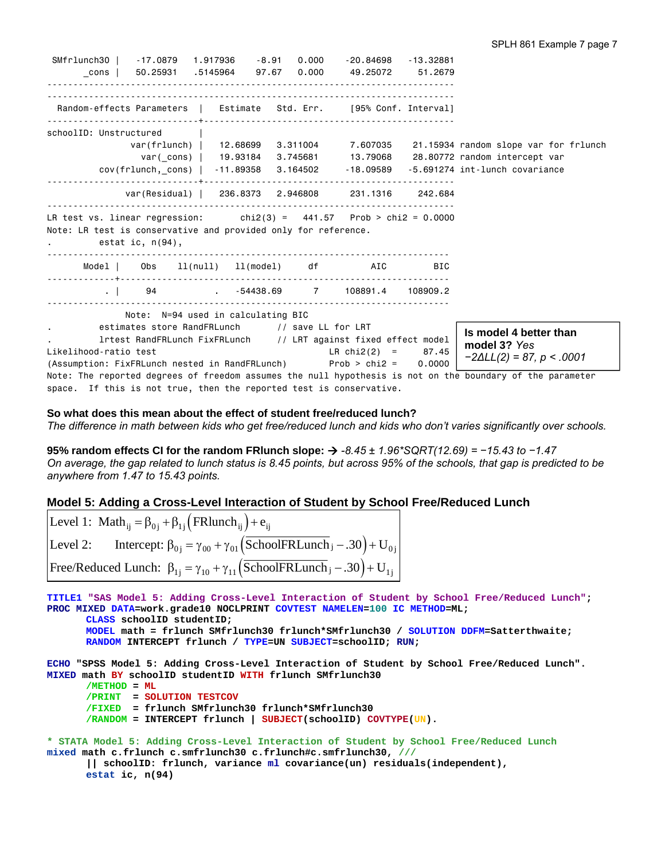SMfrlunch30 | -17.0879 1.917936 -8.91 0.000 -20.84698 -13.32881 \_cons | 50.25931 .5145964 97.67 0.000 49.25072 51.2679 ------------------------------------------------------------------------------ ------------------------------------------------------------------------------ Random-effects Parameters | Estimate Std. Err. [95% Conf. Interval] -----------------------------+----------------------------------------------- schoolID: Unstructured | var(frlunch) | 12.68699 3.311004 7.607035 21.15934 random slope var for frlunch var(\_cons) | 19.93184 3.745681 13.79068 28.80772 random intercept var cov(frlunch,\_cons) | -11.89358 3.164502 -18.09589 -5.691274 int-lunch covariance -----------------------------+----------------------------------------------- var(Residual) | 236.8373 2.946808 231.1316 242.684 ------------------------------------------------------------------------------ LR test vs. linear regression: chi $2(3) = 441.57$  Prob > chi $2 = 0.0000$ Note: LR test is conservative and provided only for reference. . estat ic, n(94), ----------------------------------------------------------------------------- Model | Obs ll(null) ll(model) df AIC BIC -------------+--------------------------------------------------------------- . | 94 . -54438.69 7 108891.4 108909.2 ----------------------------------------------------------------------------- Note: N=94 used in calculating BIC estimates store RandFRLunch // save LL for LRT . lrtest RandFRLunch FixFRLunch // LRT against fixed effect model Likelihood-ratio test LR chi2(2) = 87.45 (Assumption: FixFRLunch nested in RandFRLunch) Prob > chi2 = 0.0000 Note: The reported degrees of freedom assumes the null hypothesis is not on the boundary of the parameter space. If this is not true, then the reported test is conservative. **Is model 4 better than model 3?** *Yes −2∆LL(2) = 87, p < .0001*

#### **So what does this mean about the effect of student free/reduced lunch?**

*The difference in math between kids who get free/reduced lunch and kids who don't varies significantly over schools.* 

**95% random effects CI for the random FRlunch slope:**  *-8.45 ± 1.96\*SQRT(12.69) = −15.43 to −1.47 On average, the gap related to lunch status is 8.45 points, but across 95% of the schools, that gap is predicted to be anywhere from 1.47 to 15.43 points.*

### **Model 5: Adding a Cross-Level Interaction of Student by School Free/Reduced Lunch**

Level 1: Math<sub>ij</sub> =  $\beta_{0j}$  +  $\beta_{1j}$  (FRlunch<sub>ij</sub>) +  $e_{ij}$ Level 2: Intercept:  $\beta_{0j} = \gamma_{00} + \gamma_{01}$  (SchoolFRLunch  $j - .30$ ) + U<sub>0j</sub> Free/Reduced Lunch:  $\beta_{1j} = \gamma_{10} + \gamma_{11}$  (SchoolFRLunch  $j - .30$ ) + U<sub>1j</sub>

**TITLE1 "SAS Model 5: Adding Cross-Level Interaction of Student by School Free/Reduced Lunch"; PROC MIXED DATA=work.grade10 NOCLPRINT COVTEST NAMELEN=100 IC METHOD=ML; CLASS schoolID studentID; MODEL math = frlunch SMfrlunch30 frlunch\*SMfrlunch30 / SOLUTION DDFM=Satterthwaite; RANDOM INTERCEPT frlunch / TYPE=UN SUBJECT=schoolID; RUN; ECHO "SPSS Model 5: Adding Cross-Level Interaction of Student by School Free/Reduced Lunch".** 

```
MIXED math BY schoolID studentID WITH frlunch SMfrlunch30 
      /METHOD = ML
        /PRINT = SOLUTION TESTCOV
        /FIXED = frlunch SMfrlunch30 frlunch*SMfrlunch30 
        /RANDOM = INTERCEPT frlunch | SUBJECT(schoolID) COVTYPE(UN).
```
**\* STATA Model 5: Adding Cross-Level Interaction of Student by School Free/Reduced Lunch mixed math c.frlunch c.smfrlunch30 c.frlunch#c.smfrlunch30, /// || schoolID: frlunch, variance ml covariance(un) residuals(independent),** 

**estat ic, n(94)**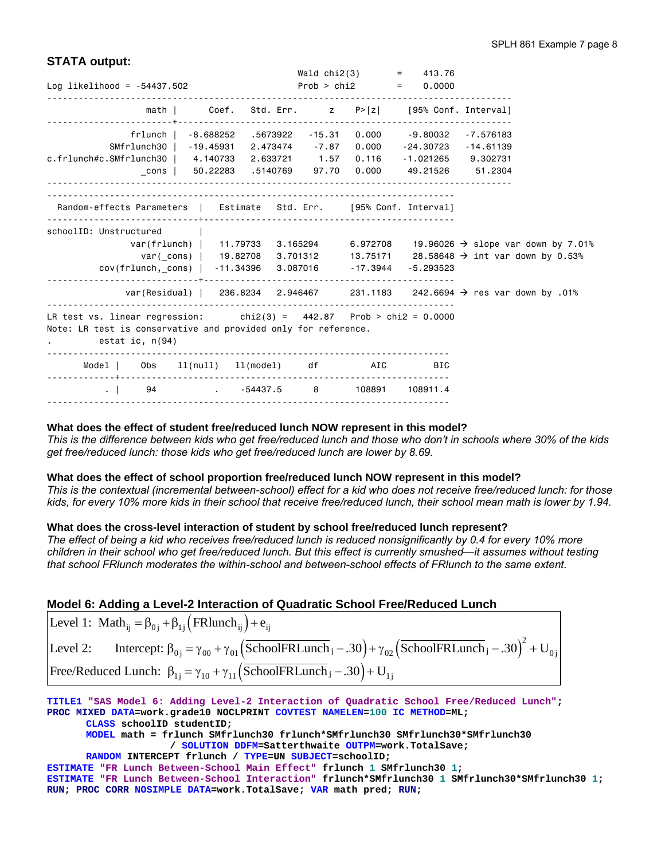# **STATA output:**

|                                                                                                                                                                         |                                                              |                                      |  | Wald chi2(3) = $413.76$     |                                                                                                                                                                                  |
|-------------------------------------------------------------------------------------------------------------------------------------------------------------------------|--------------------------------------------------------------|--------------------------------------|--|-----------------------------|----------------------------------------------------------------------------------------------------------------------------------------------------------------------------------|
| Log likelihood = $-54437.502$                                                                                                                                           |                                                              |                                      |  | Prob > chi2 $= 0.0000$      |                                                                                                                                                                                  |
|                                                                                                                                                                         | math   Coef. Std. Err. z P> z  [95% Conf. Interval]          |                                      |  |                             |                                                                                                                                                                                  |
| SMfrlunch30   -19.45931 2.473474 -7.87                                                                                                                                  | frlunch   -8.688252 .5673922 -15.31 0.000 -9.80032 -7.576183 |                                      |  | 0.000 - 24.30723 - 14.61139 |                                                                                                                                                                                  |
| c.frlunch#c.SMfrlunch30   4.140733 2.633721 1.57                                                                                                                        |                                                              |                                      |  | 0.116 -1.021265 9.302731    |                                                                                                                                                                                  |
| Random-effects Parameters   Estimate Std. Err. [95% Conf. Interval]                                                                                                     |                                                              |                                      |  |                             |                                                                                                                                                                                  |
| schoolID: Unstructured<br>cov(frlunch,_cons)   -11.34396 3.087016 -17.3944 -5.293523                                                                                    |                                                              |                                      |  |                             | var(frlunch)   11.79733 3.165294 6.972708 19.96026 $\rightarrow$ slope var down by 7.01%<br>var(_cons)   19.82708 3.701312 13.75171 28.58648 $\rightarrow$ int var down by 0.53% |
|                                                                                                                                                                         |                                                              | ------------------------------------ |  |                             | var(Residual)   236.8234 2.946467 231.1183 242.6694 $\rightarrow$ res var down by .01%                                                                                           |
| LR test vs. linear regression: $\frac{1}{2}$ chi2(3) = 442.87 Prob > chi2 = 0.0000<br>Note: LR test is conservative and provided only for reference.<br>estat ic, n(94) |                                                              |                                      |  |                             |                                                                                                                                                                                  |
| Model   Obs 11(null) 11(model) df AIC BIC                                                                                                                               |                                                              |                                      |  |                             |                                                                                                                                                                                  |
| $\mathbf{1}$                                                                                                                                                            | 94 . $-54437.5$ 8 108891 108911.4                            |                                      |  |                             |                                                                                                                                                                                  |

### **What does the effect of student free/reduced lunch NOW represent in this model?**

*This is the difference between kids who get free/reduced lunch and those who don't in schools where 30% of the kids get free/reduced lunch: those kids who get free/reduced lunch are lower by 8.69.* 

### **What does the effect of school proportion free/reduced lunch NOW represent in this model?**

*This is the contextual (incremental between-school) effect for a kid who does not receive free/reduced lunch: for those kids, for every 10% more kids in their school that receive free/reduced lunch, their school mean math is lower by 1.94.* 

## **What does the cross-level interaction of student by school free/reduced lunch represent?**

*The effect of being a kid who receives free/reduced lunch is reduced nonsignificantly by 0.4 for every 10% more children in their school who get free/reduced lunch. But this effect is currently smushed—it assumes without testing that school FRlunch moderates the within-school and between-school effects of FRlunch to the same extent.* 

# **Model 6: Adding a Level-2 Interaction of Quadratic School Free/Reduced Lunch**

| Level 1: Math <sub>ij</sub> = $\beta_{0i}$ + $\beta_{1i}$ (FRlunch <sub>ii</sub> ) + $e_{ii}$                                                                           |
|-------------------------------------------------------------------------------------------------------------------------------------------------------------------------|
| Level 2: Intercept: $\beta_{0i} = \gamma_{00} + \gamma_{01} (\overline{\text{SchoolFRLunch}}_j -.30) + \gamma_{02} (\overline{\text{SchoolFRLunch}}_j -.30)^2 + U_{0i}$ |
| Free/Reduced Lunch: $\beta_{1i} = \gamma_{10} + \gamma_{11} (\overline{\text{SchoolFRLunch}}_i - .30) + U_{1i}$                                                         |

**TITLE1 "SAS Model 6: Adding Level-2 Interaction of Quadratic School Free/Reduced Lunch"; PROC MIXED DATA=work.grade10 NOCLPRINT COVTEST NAMELEN=100 IC METHOD=ML;** 

**CLASS schoolID studentID;** 

**MODEL math = frlunch SMfrlunch30 frlunch\*SMfrlunch30 SMfrlunch30\*SMfrlunch30 / SOLUTION DDFM=Satterthwaite OUTPM=work.TotalSave;** 

**RANDOM INTERCEPT frlunch / TYPE=UN SUBJECT=schoolID;** 

**ESTIMATE "FR Lunch Between-School Main Effect" frlunch 1 SMfrlunch30 1; ESTIMATE "FR Lunch Between-School Interaction" frlunch\*SMfrlunch30 1 SMfrlunch30\*SMfrlunch30 1; RUN; PROC CORR NOSIMPLE DATA=work.TotalSave; VAR math pred; RUN;**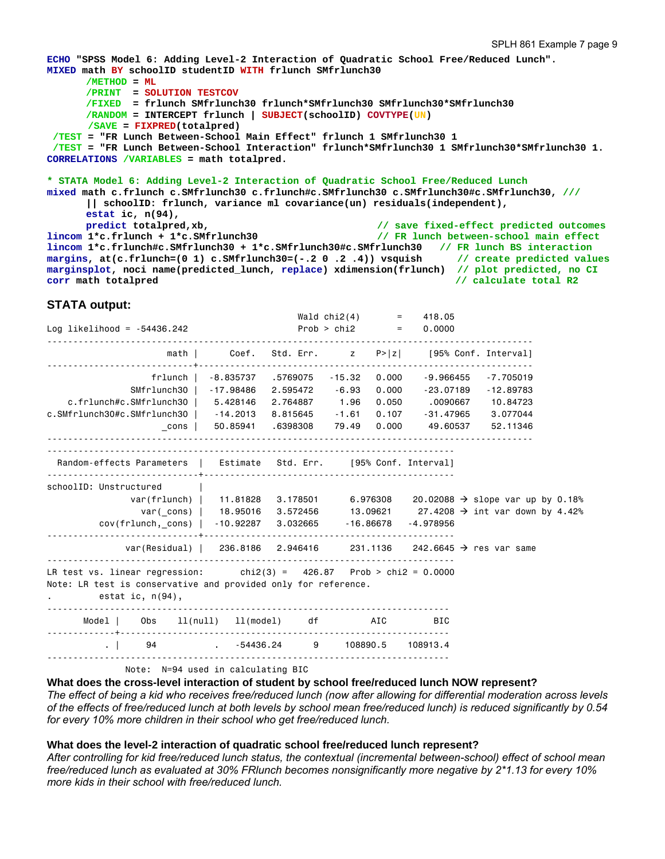```
ECHO "SPSS Model 6: Adding Level-2 Interaction of Quadratic School Free/Reduced Lunch". 
MIXED math BY schoolID studentID WITH frlunch SMfrlunch30 
      /METHOD = MT /PRINT = SOLUTION TESTCOV
       /FIXED = frlunch SMfrlunch30 frlunch*SMfrlunch30 SMfrlunch30*SMfrlunch30 
       /RANDOM = INTERCEPT frlunch | SUBJECT(schoolID) COVTYPE(UN) 
        /SAVE = FIXPRED(totalpred) 
 /TEST = "FR Lunch Between-School Main Effect" frlunch 1 SMfrlunch30 1 
  /TEST = "FR Lunch Between-School Interaction" frlunch*SMfrlunch30 1 SMfrlunch30*SMfrlunch30 1. 
CORRELATIONS /VARIABLES = math totalpred. 
* STATA Model 6: Adding Level-2 Interaction of Quadratic School Free/Reduced Lunch 
mixed math c.frlunch c.SMfrlunch30 c.frlunch#c.SMfrlunch30 c.SMfrlunch30#c.SMfrlunch30, ///
       || schoolID: frlunch, variance ml covariance(un) residuals(independent), 
      estat ic, n(94),
```

```
predict totalpred,xb, // save fixed-effect predicted outcomes
lincom 1*c.frlunch + 1*c.SMfrlunch30 // FR lunch between-school main effect
lincom 1*c.frlunch#c.SMfrlunch30 + 1*c.SMfrlunch30#c.SMfrlunch30 // FR lunch BS interaction
margins, at(c.frlunch=(0 1) c.SMfrlunch30=(-.2 0 .2 .4)) vsquish
marginsplot, noci name(predicted_lunch, replace) xdimension(frlunch) // plot predicted, no CI 
corr math totalpred corr math total R2 corr math total R2 corr math total R2
```
## **STATA output:**

| Log likelihood = $-54436.242$                                                                                                                                                 |                                     | $Prob > chi2$ = |       | Wald $\text{chi2}(4)$ = 418.05<br>0.0000                                                                                                      |                                                                                                                                                                              |  |
|-------------------------------------------------------------------------------------------------------------------------------------------------------------------------------|-------------------------------------|-----------------|-------|-----------------------------------------------------------------------------------------------------------------------------------------------|------------------------------------------------------------------------------------------------------------------------------------------------------------------------------|--|
|                                                                                                                                                                               |                                     |                 |       | math   Coef. Std. Err. z P> z  [95% Conf. Interval]                                                                                           |                                                                                                                                                                              |  |
| SMfrlunch30   -17.98486 2.595472 -6.93<br>c.frlunch#c.SMfrlunch30   5.428146 2.764887 1.96<br>c.SMfrlunch30#c.SMfrlunch30   -14.2013 8.815645 -1.61 0.107 -31.47965 3.077044  | frlunch   -8.835737 .5769075 -15.32 |                 | 0.000 | $0.000 - 9.966455 - 7.705019$<br>0.050 .0090667 10.84723<br>$\frac{\text{cons}}{\text{cons}}$ 50.85941 .6398308 79.49 0.000 49.60537 52.11346 | -23.07189 -12.89783                                                                                                                                                          |  |
| Random-effects Parameters   Estimate Std. Err. [95% Conf. Interval]                                                                                                           |                                     |                 |       |                                                                                                                                               |                                                                                                                                                                              |  |
| schoolID: Unstructured<br>$cov(f1$ unch,_cons)   -10.92287 3.032665 -16.86678 -4.978956<br>.                                                                                  |                                     |                 |       |                                                                                                                                               | var(frlunch)   11.81828 3.178501 6.976308 20.02088 $\rightarrow$ slope var up by 0.18%<br>var(cons)   18.95016 3.572456 13.09621 27.4208 $\rightarrow$ int var down by 4.42% |  |
| var(Residual)   236.8186    2.946416    231.1136    242.6645 $\rightarrow$ res var same<br>LR test vs. linear regression: $\frac{1}{2}$ chi2(3) = 426.87 Prob > chi2 = 0.0000 |                                     |                 |       |                                                                                                                                               |                                                                                                                                                                              |  |
| Note: LR test is conservative and provided only for reference.<br>estat ic, $n(94)$ ,                                                                                         |                                     |                 |       |                                                                                                                                               |                                                                                                                                                                              |  |
| Model                                                                                                                                                                         | Obs 11(null) 11(model) df AIC       |                 |       | BIC                                                                                                                                           |                                                                                                                                                                              |  |
| 04 .   94 . -54436.24 9 108890.5 108913.4<br>Note: N=94 used in calculating BIC                                                                                               |                                     |                 |       |                                                                                                                                               |                                                                                                                                                                              |  |

**What does the cross-level interaction of student by school free/reduced lunch NOW represent?** 

*The effect of being a kid who receives free/reduced lunch (now after allowing for differential moderation across levels of the effects of free/reduced lunch at both levels by school mean free/reduced lunch) is reduced significantly by 0.54 for every 10% more children in their school who get free/reduced lunch.* 

## **What does the level-2 interaction of quadratic school free/reduced lunch represent?**

*After controlling for kid free/reduced lunch status, the contextual (incremental between-school) effect of school mean free/reduced lunch as evaluated at 30% FRlunch becomes nonsignificantly more negative by 2\*1.13 for every 10% more kids in their school with free/reduced lunch.*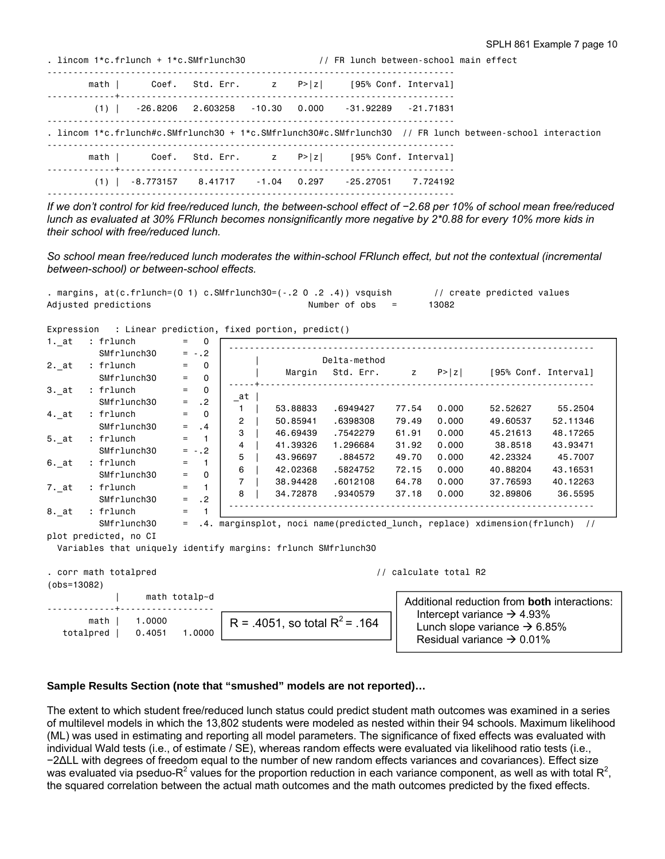| math   Coef. Std. Err. $z = P >  z $ [95% Conf. Interval]                                                 |  |
|-----------------------------------------------------------------------------------------------------------|--|
|                                                                                                           |  |
| $(1)$ -26.8206 2.603258 -10.30 0.000 -31.92289 -21.71831                                                  |  |
| . lincom 1*c.frlunch#c.SMfrlunch30 + 1*c.SMfrlunch30#c.SMfrlunch30 // FR lunch between-school interaction |  |
| math   Coef. Std. Err. z P> z  [95% Conf. Interval]                                                       |  |
| $(1)$ -8.773157 8.41717 -1.04 0.297 -25.27051 7.724192                                                    |  |

*If we don't control for kid free/reduced lunch, the between-school effect of -2.68 per 10% of school mean free/reduced lunch as evaluated at 30% FRlunch becomes nonsignificantly more negative by 2\*0.88 for every 10% more kids in their school with free/reduced lunch.* 

*So school mean free/reduced lunch moderates the within-school FRlunch effect, but not the contextual (incremental between-school) or between-school effects.* 

| . margins, at(c.frlunch=(0          1)          c.SMfrlunch30=(-.2         0 .2 .4))  vsquish |                  | // create predicted values |
|-----------------------------------------------------------------------------------------------|------------------|----------------------------|
| Adjusted predictions                                                                          | Number of obs  = | 13082                      |

Expression : Linear prediction, fixed portion, predict()

1. at : frlunch  $= 0$ SMfrlunch30 =  $-.2$ <br>frlunch = 0  $2.\_at$  : frlunch = 0<br>SMfrlunch30 = 0  $SMf$ rlunch $30$  $3.\_at$  : frlunch = 0<br>SMfrlunch30 = .2  $SMfrlunch30 = .2$ <br>: frlunch = 0 4. at : frlunch  $SMfrlunch30 = .4$  $5. at : frlunch = 1$  $SMfrlunch30 = -.2$ <br>: frlunch = 1  $6.\underline{\hspace{1cm}}$ at : fr $1$ unch = 1<br>SMfr $1$ unch30 = 0 SMfrlunch30  $7.$  at : frlunch = 1  $SMf$ rlunch30 = .2  $8.$ <sub>at</sub> : frlunch = 1 SMfrlunch30 = .4. marginsplot, noci name(predicted\_lunch, replace) xdimension(frlunch) // plot predicted, no CI Variables that uniquely identify margins: frlunch SMfrlunch30 . corr math totalpred  $\sqrt{2}$  // calculate total R2 (obs=13082) | math totalp~d -------------+----------------- math | 1.0000 totalpred | 0.4051 1.0000 R = .4051, so total  $R^2$  = .164 ---------------------------------------------------------------------- | Delta-method | Margin Std. Err. z P>|z| [95% Conf. Interval] -----+---------------------------------------------------------------  $a$ t | 1 | 53.88833 .6949427 77.54 0.000 52.52627 55.2504 2 | 50.85941 .6398308 79.49 0.000 49.60537 52.11346 3 | 46.69439 .7542279 61.91 0.000 45.21613 48.17265 4 | 41.39326 1.296684 31.92 0.000 38.8518 43.93471 5 | 43.96697 .884572 49.70 0.000 42.23324 45.7007 6 | 42.02368 .5824752 72.15 0.000 40.88204 43.16531 7 | 38.94428 .6012108 64.78 0.000 37.76593 40.12263 8 | 34.72878 .9340579 37.18 0.000 32.89806 36.5595 ---------------------------------------------------------------------- Additional reduction from **both** interactions: Intercept variance  $\rightarrow$  4.93% Lunch slope variance  $\rightarrow$  6.85%

### **Sample Results Section (note that "smushed" models are not reported)…**

The extent to which student free/reduced lunch status could predict student math outcomes was examined in a series of multilevel models in which the 13,802 students were modeled as nested within their 94 schools. Maximum likelihood (ML) was used in estimating and reporting all model parameters. The significance of fixed effects was evaluated with individual Wald tests (i.e., of estimate / SE), whereas random effects were evaluated via likelihood ratio tests (i.e., −2∆LL with degrees of freedom equal to the number of new random effects variances and covariances). Effect size was evaluated via pseduo-R<sup>2</sup> values for the proportion reduction in each variance component, as well as with total R<sup>2</sup>, the squared correlation between the actual math outcomes and the math outcomes predicted by the fixed effects.

Residual variance  $\rightarrow$  0.01%